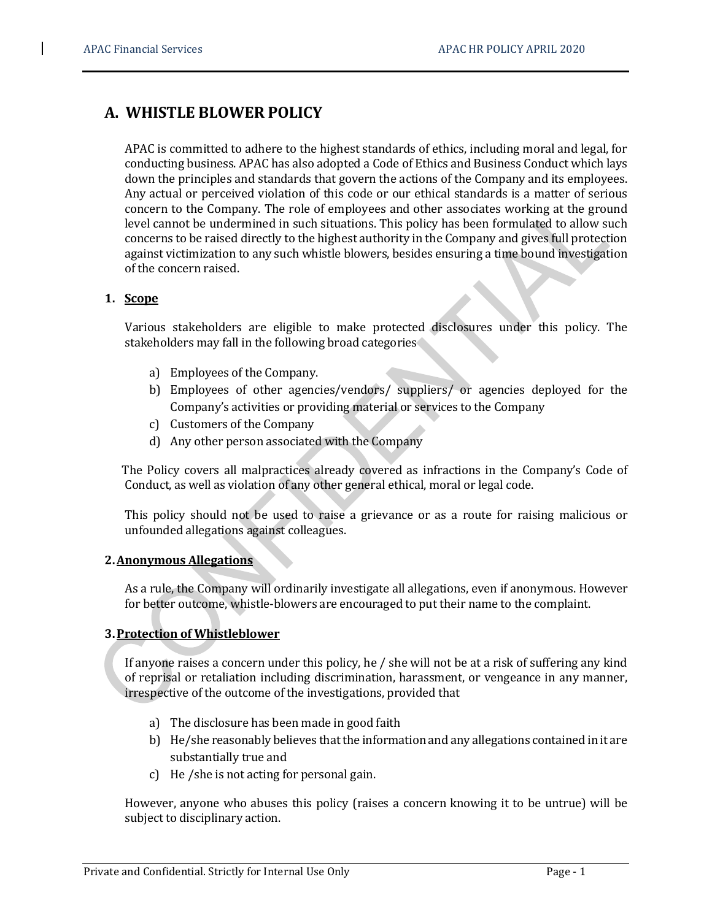# A. WHISTLE BLOWER POLICY

 APAC is committed to adhere to the highest standards of ethics, including moral and legal, for conducting business. APAC has also adopted a Code of Ethics and Business Conduct which lays down the principles and standards that govern the actions of the Company and its employees. Any actual or perceived violation of this code or our ethical standards is a matter of serious concern to the Company. The role of employees and other associates working at the ground level cannot be undermined in such situations. This policy has been formulated to allow such concerns to be raised directly to the highest authority in the Company and gives full protection against victimization to any such whistle blowers, besides ensuring a time bound investigation of the concern raised.

## 1. Scope

 Various stakeholders are eligible to make protected disclosures under this policy. The stakeholders may fall in the following broad categories

- a) Employees of the Company.
- b) Employees of other agencies/vendors/ suppliers/ or agencies deployed for the Company's activities or providing material or services to the Company
- c) Customers of the Company
- d) Any other person associated with the Company

 The Policy covers all malpractices already covered as infractions in the Company's Code of Conduct, as well as violation of any other general ethical, moral or legal code.

 This policy should not be used to raise a grievance or as a route for raising malicious or unfounded allegations against colleagues.

## 2.Anonymous Allegations

 As a rule, the Company will ordinarily investigate all allegations, even if anonymous. However for better outcome, whistle-blowers are encouraged to put their name to the complaint.

## 3.Protection of Whistleblower

If anyone raises a concern under this policy, he / she will not be at a risk of suffering any kind of reprisal or retaliation including discrimination, harassment, or vengeance in any manner, irrespective of the outcome of the investigations, provided that

- a) The disclosure has been made in good faith
- b) He/she reasonably believes that the information and any allegations contained in it are substantially true and
- c) He /she is not acting for personal gain.

 However, anyone who abuses this policy (raises a concern knowing it to be untrue) will be subject to disciplinary action.